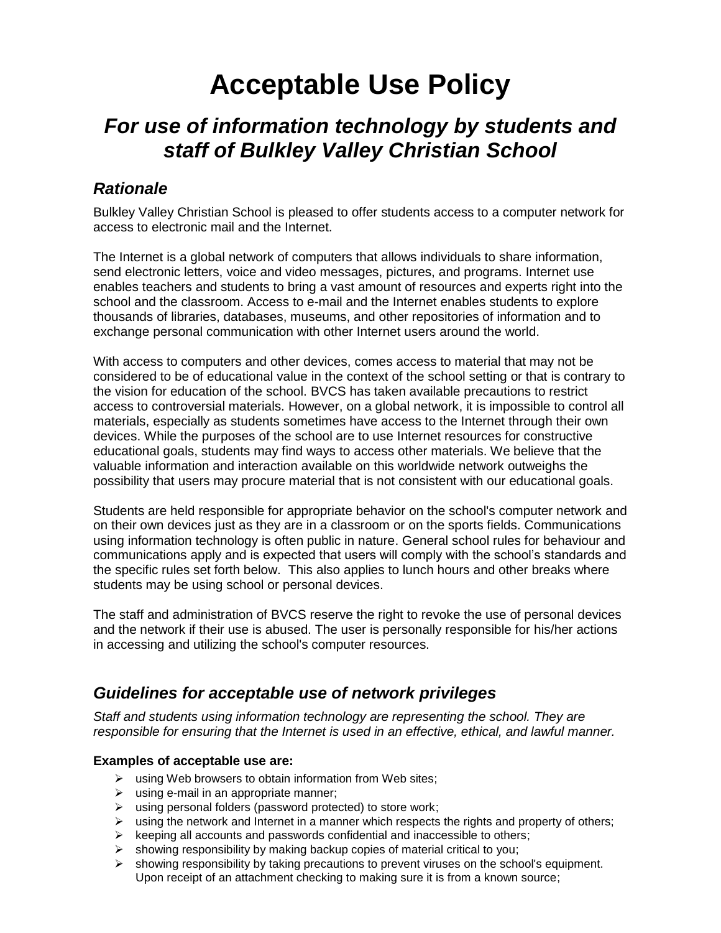# **Acceptable Use Policy**

# *For use of information technology by students and staff of Bulkley Valley Christian School*

## *Rationale*

Bulkley Valley Christian School is pleased to offer students access to a computer network for access to electronic mail and the Internet.

The Internet is a global network of computers that allows individuals to share information, send electronic letters, voice and video messages, pictures, and programs. Internet use enables teachers and students to bring a vast amount of resources and experts right into the school and the classroom. Access to e-mail and the Internet enables students to explore thousands of libraries, databases, museums, and other repositories of information and to exchange personal communication with other Internet users around the world.

With access to computers and other devices, comes access to material that may not be considered to be of educational value in the context of the school setting or that is contrary to the vision for education of the school. BVCS has taken available precautions to restrict access to controversial materials. However, on a global network, it is impossible to control all materials, especially as students sometimes have access to the Internet through their own devices. While the purposes of the school are to use Internet resources for constructive educational goals, students may find ways to access other materials. We believe that the valuable information and interaction available on this worldwide network outweighs the possibility that users may procure material that is not consistent with our educational goals.

Students are held responsible for appropriate behavior on the school's computer network and on their own devices just as they are in a classroom or on the sports fields. Communications using information technology is often public in nature. General school rules for behaviour and communications apply and is expected that users will comply with the school's standards and the specific rules set forth below. This also applies to lunch hours and other breaks where students may be using school or personal devices.

The staff and administration of BVCS reserve the right to revoke the use of personal devices and the network if their use is abused. The user is personally responsible for his/her actions in accessing and utilizing the school's computer resources.

### *Guidelines for acceptable use of network privileges*

*Staff and students using information technology are representing the school. They are responsible for ensuring that the Internet is used in an effective, ethical, and lawful manner.* 

#### **Examples of acceptable use are:**

- $\triangleright$  using Web browsers to obtain information from Web sites;
- $\triangleright$  using e-mail in an appropriate manner:
- $\triangleright$  using personal folders (password protected) to store work;
- using the network and Internet in a manner which respects the rights and property of others;
- $\triangleright$  keeping all accounts and passwords confidential and inaccessible to others;
- showing responsibility by making backup copies of material critical to you;
- $\triangleright$  showing responsibility by taking precautions to prevent viruses on the school's equipment. Upon receipt of an attachment checking to making sure it is from a known source;